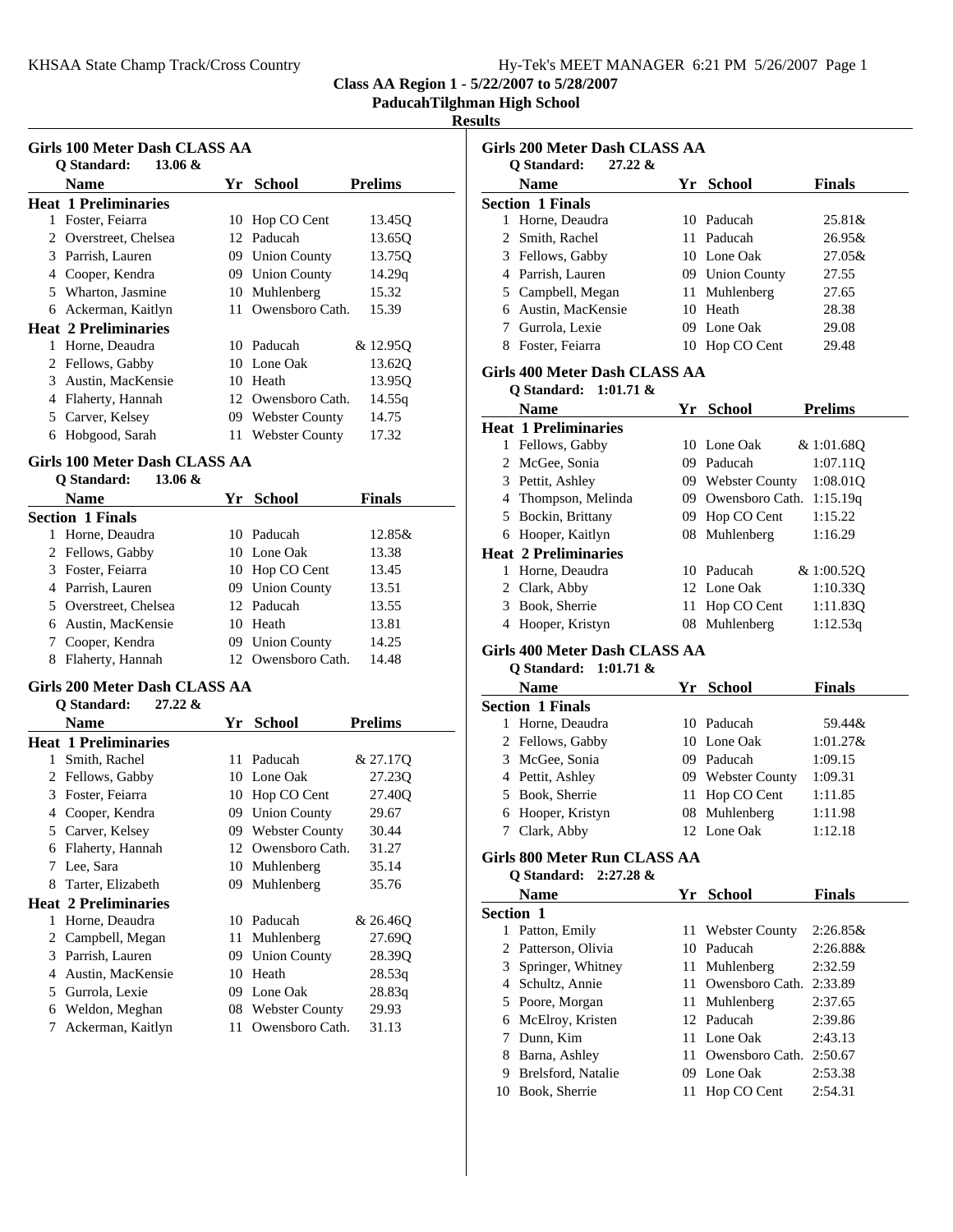|  | Hy-Tek's MEET MANAGER 6:21 PM 5/26/2007 Page 1 |  |  |
|--|------------------------------------------------|--|--|
|  |                                                |  |  |

**PaducahTilghman High School**

### **Results**

| Girls 100 Meter Dash CLASS AA |                             |     |                       |                |  |  |  |
|-------------------------------|-----------------------------|-----|-----------------------|----------------|--|--|--|
|                               | 13.06 $\&$<br>Q Standard:   |     |                       |                |  |  |  |
|                               | Name                        | Yr  | <b>School</b>         | <b>Prelims</b> |  |  |  |
|                               | <b>Heat 1 Preliminaries</b> |     |                       |                |  |  |  |
| 1                             | Foster, Feiarra             | 10  | Hop CO Cent           | 13.45O         |  |  |  |
| $\mathfrak{D}$                | Overstreet, Chelsea         |     | 12 Paducah            | 13.65Q         |  |  |  |
| 3                             | Parrish, Lauren             | 09. | <b>Union County</b>   | 13.750         |  |  |  |
| 4                             | Cooper, Kendra              |     | 09 Union County       | 14.29q         |  |  |  |
|                               | 5 Wharton, Jasmine          | 10  | Muhlenberg            | 15.32          |  |  |  |
| 6                             | Ackerman, Kaitlyn           | 11  | Owensboro Cath.       | 15.39          |  |  |  |
|                               | <b>Heat 2 Preliminaries</b> |     |                       |                |  |  |  |
| 1                             | Horne, Deaudra              | 10  | Paducah               | & 12.95Q       |  |  |  |
| 2                             | Fellows, Gabby              |     | 10 Lone Oak           | 13.620         |  |  |  |
| 3                             | Austin, MacKensie           | 10  | Heath                 | 13.95Q         |  |  |  |
| 4                             | Flaherty, Hannah            | 12  | Owensboro Cath.       | 14.55q         |  |  |  |
|                               | 5 Carver, Kelsey            | 09  | <b>Webster County</b> | 14.75          |  |  |  |
| 6                             | Hobgood, Sarah              | 11  | <b>Webster County</b> | 17.32          |  |  |  |

## **Girls 100 Meter Dash CLASS AA**

| $13.06 \&$<br>O Standard: |                           |               |
|---------------------------|---------------------------|---------------|
| <b>Name</b>               | Yr School                 | <b>Finals</b> |
| <b>Section 1 Finals</b>   |                           |               |
| Horne, Deaudra            | 10 Paducah                | 12.85&        |
| 2 Fellows, Gabby          | 10 Lone Oak               | 13.38         |
| 3 Foster, Feiarra         | 10 Hop CO Cent            | 13.45         |
| 4 Parrish, Lauren         | 09 Union County           | 13.51         |
| 5 Overstreet, Chelsea     | 12 Paducah                | 13.55         |
| 6 Austin, MacKensie       | 10 Heath                  | 13.81         |
| Cooper, Kendra            | <b>Union County</b><br>09 | 14.25         |
| Flaherty, Hannah          | Owensboro Cath.           | 14.48         |

### **Girls 200 Meter Dash CLASS AA**

|              | O Standard:<br>27.22 &      |     |                     |                |
|--------------|-----------------------------|-----|---------------------|----------------|
|              | Name                        | Yr  | <b>School</b>       | <b>Prelims</b> |
|              | <b>Heat 1 Preliminaries</b> |     |                     |                |
| 1            | Smith, Rachel               |     | 11 Paducah          | & 27.170       |
| 2            | Fellows, Gabby              |     | 10 Lone Oak         | 27.23Q         |
| 3            | Foster, Feiarra             | 10  | Hop CO Cent         | 27.40O         |
| 4            | Cooper, Kendra              | 09  | <b>Union County</b> | 29.67          |
| 5            | Carver, Kelsey              |     | 09 Webster County   | 30.44          |
| 6            | Flaherty, Hannah            | 12  | Owensboro Cath.     | 31.27          |
| 7            | Lee, Sara                   | 10  | Muhlenberg          | 35.14          |
| 8            | Tarter, Elizabeth           | 09. | Muhlenberg          | 35.76          |
|              | <b>Heat 2 Preliminaries</b> |     |                     |                |
| 1            | Horne, Deaudra              |     | 10 Paducah          | & 26.460       |
| $\mathbf{Z}$ | Campbell, Megan             | 11  | Muhlenberg          | 27.690         |
| 3            | Parrish, Lauren             | 09. | <b>Union County</b> | 28.390         |
| 4            | Austin, MacKensie           | 10  | Heath               | 28.53q         |
| 5            | Gurrola, Lexie              | 09  | Lone Oak            | 28.83q         |
| 6            | Weldon, Meghan              |     | 08 Webster County   | 29.93          |
| 7            | Ackerman, Kaitlyn           | 11  | Owensboro Cath.     | 31.13          |

|   | Girls 200 Meter Dash CLASS AA                                |     |                        |                |
|---|--------------------------------------------------------------|-----|------------------------|----------------|
|   | 27.22 &<br>Q Standard:                                       |     |                        |                |
|   | <b>Name</b>                                                  |     | Yr School              | <b>Finals</b>  |
|   | <b>Section 1 Finals</b>                                      |     |                        |                |
|   | 1 Horne, Deaudra                                             | 10  | Paducah                | 25.81&         |
|   | 2 Smith, Rachel                                              |     | 11 Paducah             | 26.95&         |
|   | 3 Fellows, Gabby                                             |     | 10 Lone Oak            | 27.05&         |
|   | 4 Parrish, Lauren                                            |     | 09 Union County        | 27.55          |
|   | 5 Campbell, Megan                                            | 11  | Muhlenberg             | 27.65          |
|   | 6 Austin, MacKensie                                          |     | 10 Heath               | 28.38          |
|   | 7 Gurrola, Lexie                                             |     | 09 Lone Oak            | 29.08          |
|   | 8 Foster, Feiarra                                            |     | 10 Hop CO Cent         | 29.48          |
|   | Girls 400 Meter Dash CLASS AA                                |     |                        |                |
|   | Q Standard:<br>$1:01.71 \&$                                  |     |                        |                |
|   | <b>Name</b>                                                  |     | Yr School              | <b>Prelims</b> |
|   | <b>Heat 1 Preliminaries</b>                                  |     |                        |                |
|   | 1 Fellows, Gabby                                             |     | 10 Lone Oak            | & 1:01.68Q     |
|   | 2 McGee, Sonia                                               |     | 09 Paducah             | 1:07.11Q       |
|   | 3 Pettit, Ashley                                             |     | 09 Webster County      | 1:08.01Q       |
|   | 4 Thompson, Melinda                                          |     | 09 Owensboro Cath.     | 1:15.19q       |
|   | 5 Bockin, Brittany                                           |     | 09 Hop CO Cent         | 1:15.22        |
|   | 6 Hooper, Kaitlyn                                            | 08. | Muhlenberg             | 1:16.29        |
|   | <b>Heat 2 Preliminaries</b>                                  |     |                        |                |
|   | 1 Horne, Deaudra                                             |     | 10 Paducah             | & 1:00.52Q     |
|   | 2 Clark, Abby                                                |     | 12 Lone Oak            | 1:10.33Q       |
|   | 3 Book, Sherrie                                              |     | 11 Hop CO Cent         | 1:11.83Q       |
|   | 4 Hooper, Kristyn                                            | 08  | Muhlenberg             | 1:12.53q       |
|   |                                                              |     |                        |                |
|   | Girls 400 Meter Dash CLASS AA<br>Q Standard:<br>$1:01.71 \&$ |     |                        |                |
|   | <b>Name</b>                                                  |     | Yr School              | <b>Finals</b>  |
|   | <b>Section 1 Finals</b>                                      |     |                        |                |
|   | 1 Horne, Deaudra                                             |     | 10 Paducah             | 59.44&         |
|   | 2 Fellows, Gabby                                             |     | 10 Lone Oak            | $1:01.27$ &    |
|   | 3 McGee, Sonia                                               |     | 09 Paducah             | 1:09.15        |
|   | 4 Pettit, Ashley                                             |     | 09 Webster County      | 1:09.31        |
|   |                                                              |     |                        |                |
|   | 5 Book, Sherrie<br>6 Hooper, Kristyn                         | 11  | Hop CO Cent            | 1:11.85        |
|   |                                                              | 08  | Muhlenberg<br>Lone Oak | 1:11.98        |
| 7 | Clark, Abby                                                  | 12  |                        | 1:12.18        |
|   | Girls 800 Meter Run CLASS AA<br>Q Standard: 2:27.28 &        |     |                        |                |
|   | <b>Name</b>                                                  |     |                        | <b>Finals</b>  |
|   |                                                              |     | Yr School              |                |
|   | Section 1                                                    |     |                        |                |
|   | 1 Patton, Emily                                              | 11- | <b>Webster County</b>  | $2:26.85\&$    |
|   | 2 Patterson, Olivia                                          |     | 10 Paducah             | 2:26.88&       |
|   | 3 Springer, Whitney                                          |     | 11 Muhlenberg          | 2:32.59        |
|   | 4 Schultz, Annie                                             |     | 11 Owensboro Cath.     | 2:33.89        |
|   | 5 Poore, Morgan                                              |     | 11 Muhlenberg          | 2:37.65        |
|   | 6 McElroy, Kristen                                           |     | 12 Paducah             | 2:39.86        |
|   | 7 Dunn, Kim                                                  |     | 11 Lone Oak            | 2:43.13        |
|   | 8 Barna, Ashley                                              |     | 11 Owensboro Cath.     | 2:50.67        |
|   | 9 Brelsford, Natalie                                         |     | 09 Lone Oak            | 2:53.38        |
|   | 10 Book, Sherrie                                             |     | 11 Hop CO Cent         | 2:54.31        |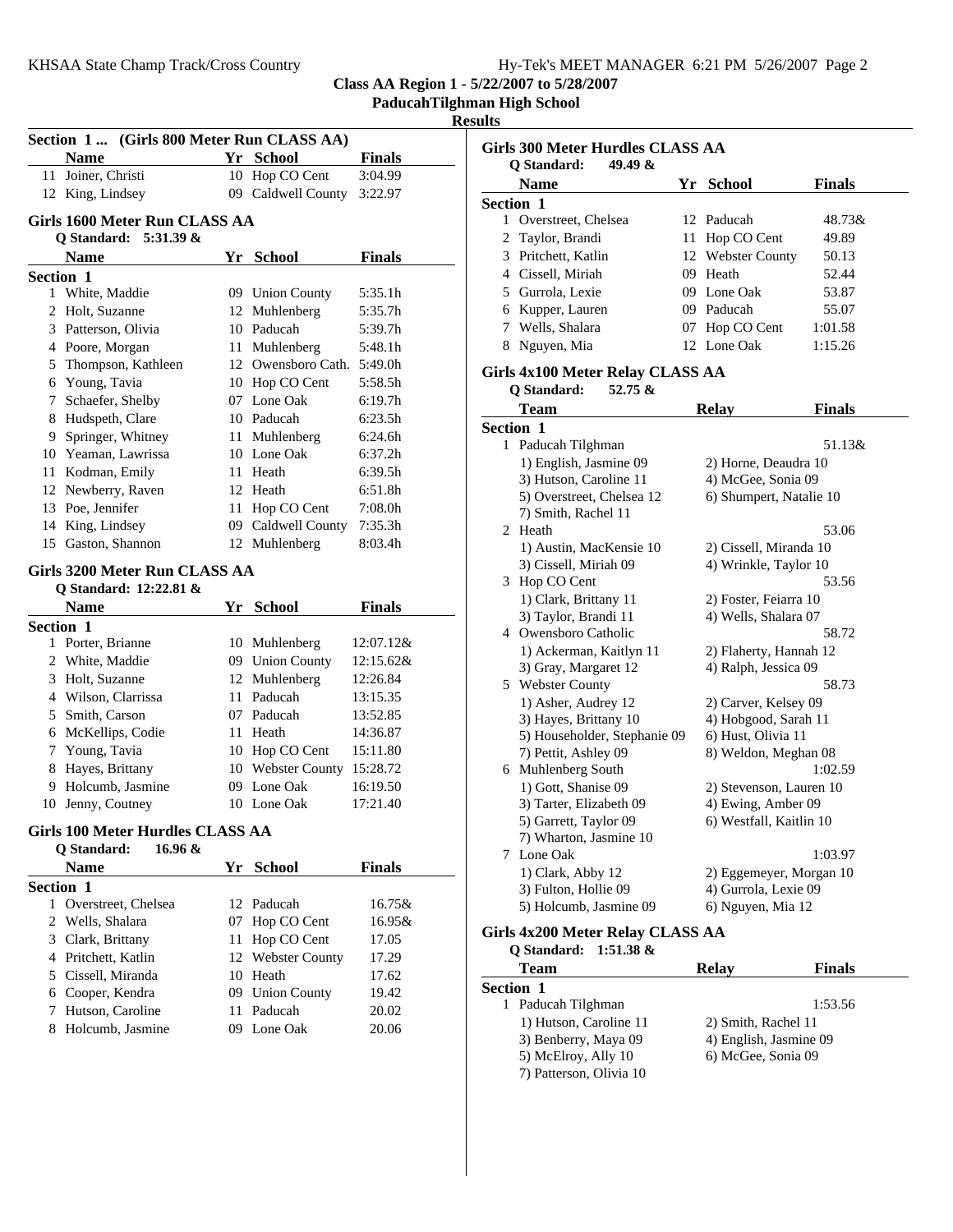|  |  |  | Hy-Tek's MEET MANAGER 6:21 PM 5/26/2007 Page 2 |  |  |  |
|--|--|--|------------------------------------------------|--|--|--|
|--|--|--|------------------------------------------------|--|--|--|

**PaducahTilghman High School**

#### **Results**

| Section 1  (Girls 800 Meter Run CLASS AA) |                                                        |    |                            |                     |  |  |
|-------------------------------------------|--------------------------------------------------------|----|----------------------------|---------------------|--|--|
|                                           | <b>Name</b>                                            |    | Yr School                  | <b>Finals</b>       |  |  |
|                                           | 11 Joiner, Christi                                     |    | 10 Hop CO Cent             | 3:04.99             |  |  |
|                                           | 12 King, Lindsey                                       |    | 09 Caldwell County         | 3:22.97             |  |  |
|                                           |                                                        |    |                            |                     |  |  |
|                                           | Girls 1600 Meter Run CLASS AA<br>Q Standard: 5:31.39 & |    |                            |                     |  |  |
|                                           | <b>Name</b>                                            |    |                            |                     |  |  |
|                                           |                                                        |    | Yr School                  | <b>Finals</b>       |  |  |
| <b>Section 1</b>                          | 1 White, Maddie                                        |    | 09 Union County            | 5:35.1h             |  |  |
|                                           | 2 Holt, Suzanne                                        |    | 12 Muhlenberg              | 5:35.7h             |  |  |
|                                           | 3 Patterson, Olivia                                    |    | 10 Paducah                 | 5:39.7h             |  |  |
|                                           | 4 Poore, Morgan                                        |    | 11 Muhlenberg              | 5:48.1h             |  |  |
|                                           | 5 Thompson, Kathleen                                   |    | 12 Owensboro Cath.         | 5:49.0h             |  |  |
|                                           | 6 Young, Tavia                                         |    | 10 Hop CO Cent             | 5:58.5h             |  |  |
|                                           | 7 Schaefer, Shelby                                     |    | 07 Lone Oak                | 6:19.7 <sub>h</sub> |  |  |
|                                           | 8 Hudspeth, Clare                                      |    | 10 Paducah                 | 6:23.5h             |  |  |
|                                           | 9 Springer, Whitney                                    |    | 11 Muhlenberg              | 6:24.6h             |  |  |
|                                           | 10 Yeaman, Lawrissa                                    |    | 10 Lone Oak                | 6:37.2h             |  |  |
|                                           |                                                        |    | 11 Heath                   | 6:39.5h             |  |  |
|                                           | 11 Kodman, Emily                                       |    | 12 Heath                   | 6:51.8h             |  |  |
|                                           | 12 Newberry, Raven                                     |    |                            |                     |  |  |
|                                           | 13 Poe, Jennifer                                       |    | 11 Hop CO Cent             | 7:08.0h             |  |  |
|                                           | 14 King, Lindsey                                       |    | 09 Caldwell County         | 7:35.3h             |  |  |
|                                           | 15 Gaston, Shannon                                     |    | 12 Muhlenberg              | 8:03.4h             |  |  |
|                                           | Girls 3200 Meter Run CLASS AA                          |    |                            |                     |  |  |
|                                           | Q Standard: 12:22.81 &                                 |    |                            |                     |  |  |
|                                           | <b>Name</b>                                            |    | Yr School                  | <b>Finals</b>       |  |  |
| <b>Section 1</b>                          |                                                        |    |                            |                     |  |  |
|                                           | 1 Porter, Brianne                                      |    | 10 Muhlenberg              | 12:07.12&           |  |  |
|                                           | 2 White, Maddie                                        |    | 09 Union County            | 12:15.62&           |  |  |
|                                           | 3 Holt, Suzanne                                        |    | 12 Muhlenberg              | 12:26.84            |  |  |
|                                           | 4 Wilson, Clarrissa                                    |    | 11 Paducah                 | 13:15.35            |  |  |
|                                           | 5 Smith, Carson                                        |    | 07 Paducah                 | 13:52.85            |  |  |
|                                           | 6 McKellips, Codie                                     |    | 11 Heath                   | 14:36.87            |  |  |
|                                           | 7 Young, Tavia                                         |    | 10 Hop CO Cent             | 15:11.80            |  |  |
|                                           | 8 Hayes, Brittany                                      |    | 10 Webster County 15:28.72 |                     |  |  |
|                                           | 9 Holcumb, Jasmine                                     |    | 09 Lone Oak                | 16:19.50            |  |  |
|                                           | 10 Jenny, Coutney                                      |    | 10 Lone Oak                | 17:21.40            |  |  |
|                                           | Girls 100 Meter Hurdles CLASS AA                       |    |                            |                     |  |  |
|                                           | 16.96 &<br>Q Standard:                                 |    |                            |                     |  |  |
|                                           | <b>Name</b>                                            |    | Yr School                  | <b>Finals</b>       |  |  |
|                                           |                                                        |    |                            |                     |  |  |
| Section 1<br>1                            | Overstreet, Chelsea                                    | 12 | Paducah                    | 16.75&              |  |  |
| 2                                         | Wells, Shalara                                         | 07 | Hop CO Cent                | 16.95&              |  |  |
|                                           |                                                        | 11 | Hop CO Cent                | 17.05               |  |  |
|                                           | 3 Clark, Brittany<br>4 Pritchett, Katlin               | 12 | <b>Webster County</b>      | 17.29               |  |  |
|                                           |                                                        |    | 10 Heath                   |                     |  |  |
|                                           | 5 Cissell, Miranda                                     |    |                            | 17.62               |  |  |
|                                           | 6 Cooper, Kendra<br>Hutson, Caroline                   | 11 | 09 Union County<br>Paducah | 19.42<br>20.02      |  |  |
| 7                                         | 8 Holcumb, Jasmine                                     |    | 09 Lone Oak                | 20.06               |  |  |
|                                           |                                                        |    |                            |                     |  |  |

|   | <b>Girls 300 Meter Hurdles CLASS AA</b>       |    |                                                |               |
|---|-----------------------------------------------|----|------------------------------------------------|---------------|
|   | 49.49 &<br>Q Standard:                        |    |                                                |               |
|   | Name                                          |    | Yr School                                      | <b>Finals</b> |
|   | <b>Section 1</b>                              |    |                                                |               |
| 1 | Overstreet, Chelsea                           | 12 | Paducah                                        | 48.73&        |
| 2 | Taylor, Brandi                                | 11 | Hop CO Cent                                    | 49.89         |
|   | 3 Pritchett, Katlin                           | 12 | Webster County                                 | 50.13         |
|   | 4 Cissell, Miriah                             | 09 | Heath                                          | 52.44         |
|   | 5 Gurrola, Lexie                              |    | 09 Lone Oak                                    | 53.87         |
|   | 6 Kupper, Lauren                              |    | 09 Paducah                                     | 55.07         |
|   | 7 Wells, Shalara                              | 07 | Hop CO Cent                                    | 1:01.58       |
|   | 8 Nguyen, Mia                                 | 12 | Lone Oak                                       | 1:15.26       |
|   | Girls 4x100 Meter Relay CLASS AA              |    |                                                |               |
|   | 52.75 $\&$<br>Q Standard:                     |    |                                                |               |
|   | Team                                          |    | <b>Relay</b>                                   | <b>Finals</b> |
|   | Section 1                                     |    |                                                |               |
|   | 1 Paducah Tilghman                            |    |                                                | 51.13&        |
|   | 1) English, Jasmine 09                        |    | 2) Horne, Deaudra 10                           |               |
|   | 3) Hutson, Caroline 11                        |    | 4) McGee, Sonia 09                             |               |
|   | 5) Overstreet, Chelsea 12                     |    | 6) Shumpert, Natalie 10                        |               |
|   | 7) Smith, Rachel 11                           |    |                                                |               |
|   | 2 Heath                                       |    |                                                | 53.06         |
|   | 1) Austin, MacKensie 10                       |    | 2) Cissell, Miranda 10                         |               |
|   | 3) Cissell, Miriah 09                         |    | 4) Wrinkle, Taylor 10                          |               |
|   | 3 Hop CO Cent                                 |    | 53.56                                          |               |
|   | 1) Clark, Brittany 11<br>3) Taylor, Brandi 11 |    | 2) Foster, Feiarra 10<br>4) Wells, Shalara 07  |               |
|   | 4 Owensboro Catholic                          |    |                                                | 58.72         |
|   | 1) Ackerman, Kaitlyn 11                       |    |                                                |               |
|   | 3) Gray, Margaret 12                          |    | 2) Flaherty, Hannah 12<br>4) Ralph, Jessica 09 |               |
|   | 5 Webster County                              |    |                                                | 58.73         |
|   | 1) Asher, Audrey 12                           |    | 2) Carver, Kelsey 09                           |               |
|   | 3) Hayes, Brittany 10                         |    | 4) Hobgood, Sarah 11                           |               |
|   | 5) Householder, Stephanie 09                  |    | 6) Hust, Olivia 11                             |               |
|   | 7) Pettit, Ashley 09                          |    | 8) Weldon, Meghan 08                           |               |
|   | 6 Muhlenberg South                            |    |                                                | 1:02.59       |
|   | 1) Gott, Shanise 09                           |    | 2) Stevenson, Lauren 10                        |               |
|   | 3) Tarter, Elizabeth 09                       |    | 4) Ewing, Amber 09                             |               |
|   | 5) Garrett, Taylor 09                         |    | 6) Westfall, Kaitlin 10                        |               |
|   | 7) Wharton, Jasmine 10                        |    |                                                |               |
|   | 7 Lone Oak                                    |    |                                                | 1:03.97       |
|   | 1) Clark, Abby 12                             |    | 2) Eggemeyer, Morgan 10                        |               |
|   | 3) Fulton, Hollie 09                          |    | 4) Gurrola, Lexie 09                           |               |
|   | 5) Holcumb, Jasmine 09                        |    | 6) Nguyen, Mia 12                              |               |
|   | $C$ irls $4x200$ Meter Relay CLASS $AA$       |    |                                                |               |

# **Girls 4x200 Meter Relay CLASS AA**

| <b>Relay</b>           | <b>Finals</b> |
|------------------------|---------------|
|                        |               |
|                        | 1:53.56       |
| 2) Smith, Rachel 11    |               |
| 4) English, Jasmine 09 |               |
| 6) McGee, Sonia 09     |               |
|                        |               |
|                        |               |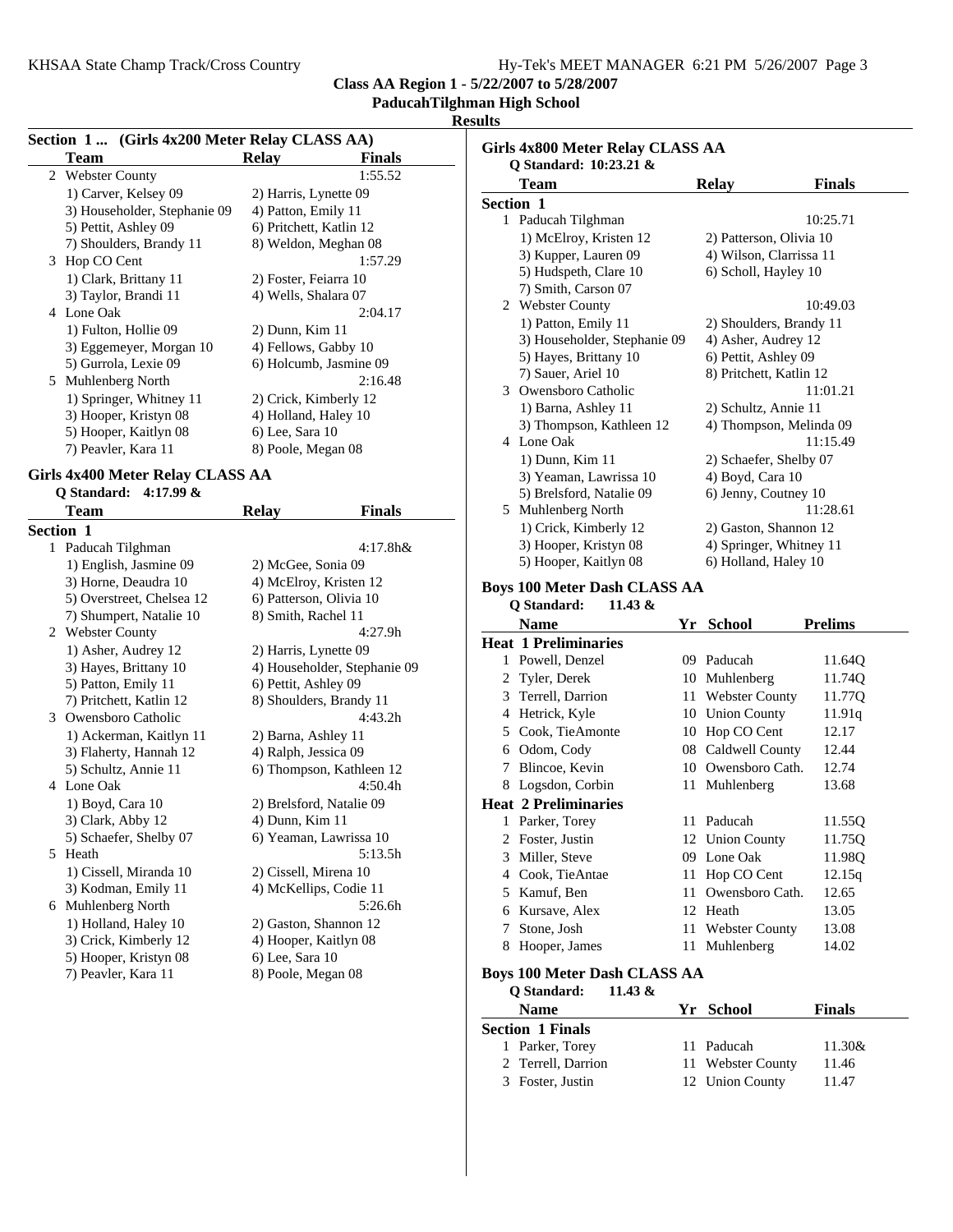## **PaducahTilghman High School**

#### **Results**

| Section 1 (Girls 4x200 Meter Relay CLASS AA) |                              |                               |  |  |
|----------------------------------------------|------------------------------|-------------------------------|--|--|
|                                              | Team                         | <b>Finals</b><br><b>Relay</b> |  |  |
|                                              | 2 Webster County             | 1:55.52                       |  |  |
|                                              | 1) Carver, Kelsey 09         | 2) Harris, Lynette 09         |  |  |
|                                              | 3) Householder, Stephanie 09 | 4) Patton, Emily 11           |  |  |
|                                              | 5) Pettit, Ashley 09         | 6) Pritchett, Katlin 12       |  |  |
|                                              | 7) Shoulders, Brandy 11      | 8) Weldon, Meghan 08          |  |  |
|                                              | 3 Hop CO Cent                | 1:57.29                       |  |  |
|                                              | 1) Clark, Brittany 11        | 2) Foster, Feiarra 10         |  |  |
|                                              | 3) Taylor, Brandi 11         | 4) Wells, Shalara 07          |  |  |
|                                              | 4 Lone Oak                   | 2:04.17                       |  |  |
|                                              | 1) Fulton, Hollie 09         | $2)$ Dunn, Kim $11$           |  |  |
|                                              | 3) Eggemeyer, Morgan 10      | 4) Fellows, Gabby 10          |  |  |
|                                              | 5) Gurrola, Lexie 09         | 6) Holcumb, Jasmine 09        |  |  |
| 5.                                           | Muhlenberg North             | 2:16.48                       |  |  |
|                                              | 1) Springer, Whitney 11      | 2) Crick, Kimberly 12         |  |  |
|                                              | 3) Hooper, Kristyn 08        | 4) Holland, Haley 10          |  |  |
|                                              | 5) Hooper, Kaitlyn 08        | 6) Lee, Sara 10               |  |  |
|                                              | 7) Peavler, Kara 11          | 8) Poole, Megan 08            |  |  |

### **Girls 4x400 Meter Relay CLASS AA**

| Q Standard: | $4:17.99$ & |  |
|-------------|-------------|--|
|-------------|-------------|--|

| Team                      | <b>Relay</b>             | Finals                       |
|---------------------------|--------------------------|------------------------------|
| <b>Section 1</b>          |                          |                              |
| 1 Paducah Tilghman        |                          | $4:17.8h$ &                  |
| 1) English, Jasmine 09    | 2) McGee, Sonia 09       |                              |
| 3) Horne, Deaudra 10      | 4) McElroy, Kristen 12   |                              |
| 5) Overstreet, Chelsea 12 | 6) Patterson, Olivia 10  |                              |
| 7) Shumpert, Natalie 10   | 8) Smith, Rachel 11      |                              |
| 2 Webster County          |                          | 4:27.9h                      |
| 1) Asher, Audrey 12       | 2) Harris, Lynette 09    |                              |
| 3) Hayes, Brittany 10     |                          | 4) Householder, Stephanie 09 |
| 5) Patton, Emily 11       | 6) Pettit, Ashley 09     |                              |
| 7) Pritchett, Katlin 12   | 8) Shoulders, Brandy 11  |                              |
| 3 Owensboro Catholic      |                          | 4:43.2 <sub>h</sub>          |
| 1) Ackerman, Kaitlyn 11   | 2) Barna, Ashley 11      |                              |
| 3) Flaherty, Hannah 12    | 4) Ralph, Jessica 09     |                              |
| 5) Schultz, Annie 11      |                          | 6) Thompson, Kathleen 12     |
| 4 Lone Oak                |                          | 4:50.4h                      |
| 1) Boyd, Cara 10          | 2) Brelsford, Natalie 09 |                              |
| 3) Clark, Abby 12         | 4) Dunn, Kim 11          |                              |
| 5) Schaefer, Shelby 07    | 6) Yeaman, Lawrissa 10   |                              |
| 5 Heath                   |                          | 5:13.5h                      |
| 1) Cissell, Miranda 10    | 2) Cissell, Mirena 10    |                              |
| 3) Kodman, Emily 11       | 4) McKellips, Codie 11   |                              |
| 6 Muhlenberg North        |                          | 5:26.6h                      |
| 1) Holland, Haley 10      | 2) Gaston, Shannon 12    |                              |
| 3) Crick, Kimberly 12     | 4) Hooper, Kaitlyn 08    |                              |
| 5) Hooper, Kristyn 08     | 6) Lee, Sara 10          |                              |
| 7) Peavler, Kara 11       | 8) Poole, Megan 08       |                              |
|                           |                          |                              |

|              | Girls 4x800 Meter Relay CLASS AA<br>Q Standard: 10:23.21 & |    |                                                 |                |
|--------------|------------------------------------------------------------|----|-------------------------------------------------|----------------|
|              | <b>Team</b>                                                |    | <b>Relay</b>                                    | <b>Finals</b>  |
|              | <b>Section 1</b>                                           |    |                                                 |                |
|              | 1 Paducah Tilghman                                         |    |                                                 | 10:25.71       |
|              | 1) McElroy, Kristen 12                                     |    | 2) Patterson, Olivia 10                         |                |
|              | 3) Kupper, Lauren 09                                       |    | 4) Wilson, Clarrissa 11                         |                |
|              | 5) Hudspeth, Clare 10                                      |    | 6) Scholl, Hayley 10                            |                |
|              | 7) Smith, Carson 07                                        |    |                                                 |                |
|              | 2 Webster County                                           |    |                                                 | 10:49.03       |
|              | 1) Patton, Emily 11                                        |    | 2) Shoulders, Brandy 11                         |                |
|              | 3) Householder, Stephanie 09                               |    | 4) Asher, Audrey 12                             |                |
|              | 5) Hayes, Brittany 10                                      |    | 6) Pettit, Ashley 09                            |                |
|              | 7) Sauer, Ariel 10                                         |    | 8) Pritchett, Katlin 12                         |                |
|              | 3 Owensboro Catholic                                       |    |                                                 | 11:01.21       |
|              | 1) Barna, Ashley 11                                        |    | 2) Schultz, Annie 11                            |                |
|              | 3) Thompson, Kathleen 12                                   |    | 4) Thompson, Melinda 09                         |                |
|              | 4 Lone Oak                                                 |    |                                                 | 11:15.49       |
|              | 1) Dunn, Kim 11                                            |    | 2) Schaefer, Shelby 07                          |                |
|              | 3) Yeaman, Lawrissa 10                                     |    | 4) Boyd, Cara 10                                |                |
|              | 5) Brelsford, Natalie 09                                   |    | 6) Jenny, Coutney 10                            |                |
|              | 5 Muhlenberg North                                         |    |                                                 | 11:28.61       |
|              | 1) Crick, Kimberly 12                                      |    | 2) Gaston, Shannon 12                           |                |
|              | 3) Hooper, Kristyn 08<br>5) Hooper, Kaitlyn 08             |    | 4) Springer, Whitney 11<br>6) Holland, Haley 10 |                |
|              | <b>Boys 100 Meter Dash CLASS AA</b>                        |    |                                                 |                |
|              | Q Standard:<br>11.43 &                                     |    |                                                 |                |
|              | <b>Name</b>                                                |    | Yr School                                       | <b>Prelims</b> |
|              | <b>Heat 1 Preliminaries</b>                                |    |                                                 |                |
| 1            | Powell, Denzel                                             |    | 09 Paducah                                      | 11.64Q         |
|              | 2 Tyler, Derek                                             |    | 10 Muhlenberg                                   | 11.74Q         |
|              | 3 Terrell, Darrion                                         |    | 11 Webster County                               | 11.77Q         |
|              | 4 Hetrick, Kyle                                            |    | 10 Union County                                 | 11.91q         |
|              | 5 Cook, TieAmonte                                          |    | 10 Hop CO Cent                                  | 12.17          |
|              | 6 Odom, Cody                                               |    | 08 Caldwell County                              | 12.44          |
|              | 7 Blincoe, Kevin                                           |    | 10 Owensboro Cath.                              | 12.74          |
|              | 8 Logsdon, Corbin                                          |    | 11 Muhlenberg                                   | 13.68          |
|              | <b>Heat 2 Preliminaries</b>                                |    |                                                 |                |
| $\mathbf{1}$ | Parker, Torey                                              |    | 11 Paducah                                      | 11.55Q         |
| 2            | Foster, Justin                                             | 12 | <b>Union County</b>                             | 11.75Q         |
|              | 3 Miller, Steve                                            | 09 | Lone Oak                                        | 11.98Q         |
|              | 4 Cook, TieAntae                                           | 11 | Hop CO Cent                                     | 12.15q         |
|              | 5 Kamuf, Ben                                               | 11 | Owensboro Cath.                                 | 12.65          |
|              | 6 Kursave, Alex                                            |    | 12 Heath                                        | 13.05          |
|              | 7 Stone, Josh                                              |    | 11 Webster County                               | 13.08          |
|              | 8 Hooper, James                                            | 11 | Muhlenberg                                      | 14.02          |
|              | <b>Boys 100 Meter Dash CLASS AA</b>                        |    |                                                 |                |
|              | Q Standard:<br>11.43 &                                     |    |                                                 |                |
|              | <b>Name</b>                                                | Yr | <b>School</b>                                   | <b>Finals</b>  |
|              | <b>Section 1 Finals</b>                                    |    |                                                 |                |
| 1            | Parker, Torey                                              | 11 | Paducah                                         | 11.30&         |
|              | 2 Terrell, Darrion                                         | 11 | <b>Webster County</b>                           | 11.46          |

3 Foster, Justin 12 Union County 11.47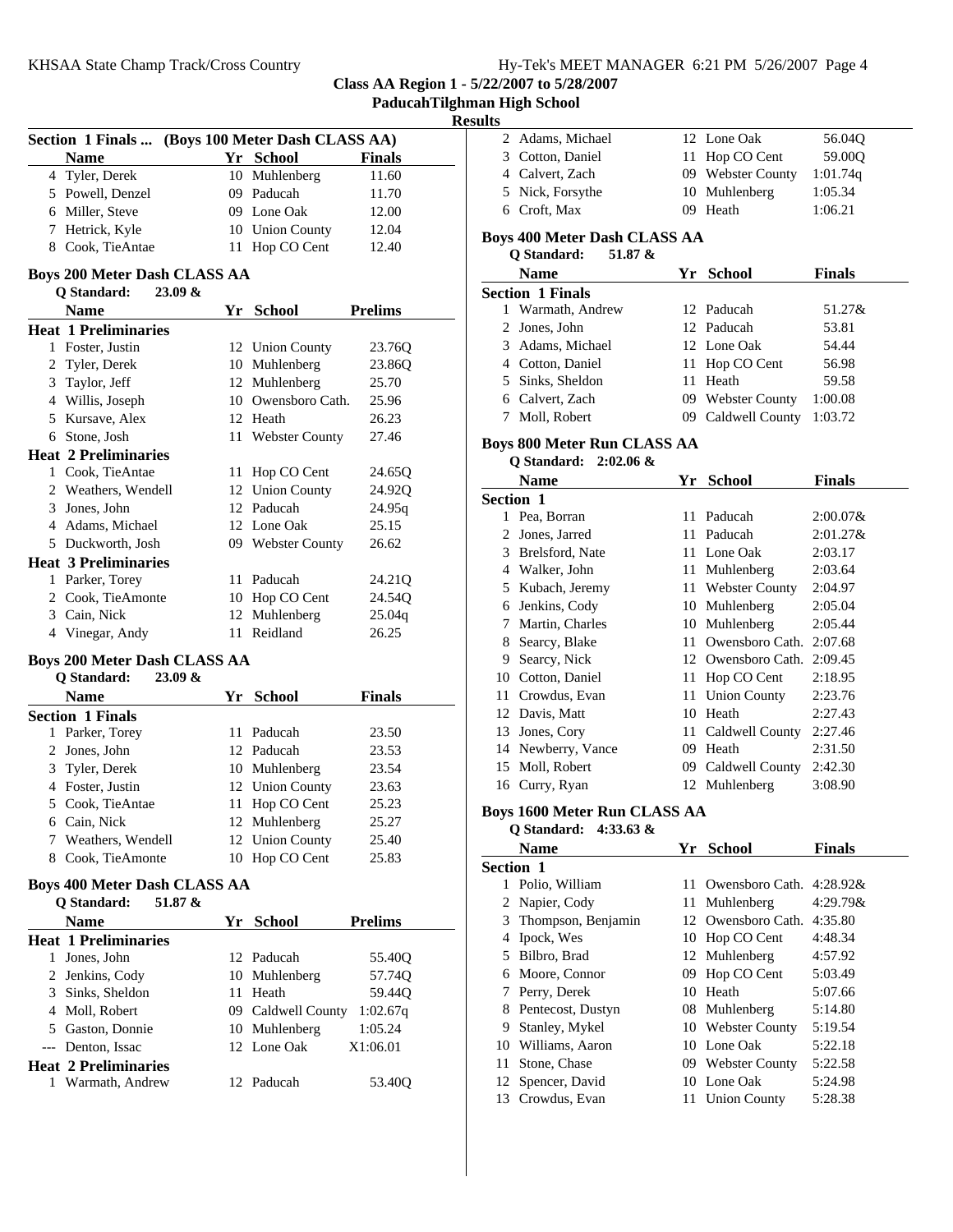| Hy-Tek's MEET MANAGER 6:21 PM 5/26/2007 Page 4 |  |  |  |
|------------------------------------------------|--|--|--|
|------------------------------------------------|--|--|--|

| Paducah Tilghman High School |  |
|------------------------------|--|
|                              |  |

## **Results**

| Section 1 Finals                                              |    | (Boys 100 Meter Dash CLASS AA) |                |  |
|---------------------------------------------------------------|----|--------------------------------|----------------|--|
| <b>Name</b>                                                   |    | Yr School                      | <b>Finals</b>  |  |
| 4 Tyler, Derek                                                |    | 10 Muhlenberg                  | 11.60          |  |
| 5 Powell, Denzel                                              |    | 09 Paducah                     | 11.70          |  |
| 6 Miller, Steve                                               |    | 09 Lone Oak                    | 12.00          |  |
| 7 Hetrick, Kyle                                               |    | 10 Union County                | 12.04          |  |
| 8 Cook, TieAntae                                              |    | 11 Hop CO Cent                 | 12.40          |  |
| <b>Boys 200 Meter Dash CLASS AA</b><br>Q Standard:<br>23.09 & |    |                                |                |  |
| <b>Name</b>                                                   |    | Yr School                      | <b>Prelims</b> |  |
| <b>Heat 1 Preliminaries</b>                                   |    |                                |                |  |
| 1 Foster, Justin                                              |    | 12 Union County                | 23.76Q         |  |
| 2 Tyler, Derek                                                |    | 10 Muhlenberg                  | 23.86Q         |  |
| 3 Taylor, Jeff                                                |    | 12 Muhlenberg                  | 25.70          |  |
| 4 Willis, Joseph                                              |    | 10 Owensboro Cath.             | 25.96          |  |
| 5 Kursave, Alex                                               |    | 12 Heath                       | 26.23          |  |
| 6 Stone, Josh                                                 |    | 11 Webster County              | 27.46          |  |
| <b>Heat 2 Preliminaries</b>                                   |    |                                |                |  |
| 1 Cook, TieAntae                                              |    | 11 Hop CO Cent                 | 24.65Q         |  |
| 2 Weathers, Wendell                                           |    | 12 Union County                | 24.92Q         |  |
| 3 Jones, John                                                 |    | 12 Paducah                     | 24.95q         |  |
| 4 Adams, Michael                                              |    | 12 Lone Oak                    | 25.15          |  |
| 5 Duckworth, Josh                                             |    | 09 Webster County              | 26.62          |  |
| <b>Heat 3 Preliminaries</b>                                   |    |                                |                |  |
| 1 Parker, Torey                                               |    | 11 Paducah                     | 24.21Q         |  |
| 2 Cook, TieAmonte                                             |    | 10 Hop CO Cent                 | 24.54Q         |  |
| 3 Cain, Nick                                                  | 12 | Muhlenberg                     | 25.04q         |  |
| 4 Vinegar, Andy                                               | 11 | Reidland                       | 26.25          |  |
|                                                               |    |                                |                |  |
| <b>Boys 200 Meter Dash CLASS AA</b><br>23.09 &                |    |                                |                |  |
| Q Standard:<br><b>Name</b>                                    | Yr | <b>School</b>                  | <b>Finals</b>  |  |
| <b>Section 1 Finals</b>                                       |    |                                |                |  |
| 1 Parker, Torey                                               |    | 11 Paducah                     | 23.50          |  |
| 2 Jones, John                                                 |    | 12 Paducah                     | 23.53          |  |
| 3 Tyler, Derek                                                |    | 10 Muhlenberg                  | 23.54          |  |
| 4 Foster, Justin                                              |    | 12 Union County                | 23.63          |  |
| 5 Cook, TieAntae                                              |    | 11 Hop CO Cent                 | 25.23          |  |
| 6 Cain, Nick                                                  |    | 12 Muhlenberg                  | 25.27          |  |
| Weathers, Wendell<br>7                                        | 12 | <b>Union County</b>            | 25.40          |  |
| 8 Cook, TieAmonte                                             |    | 10 Hop CO Cent                 | 25.83          |  |
|                                                               |    |                                |                |  |
| <b>Boys 400 Meter Dash CLASS AA</b>                           |    |                                |                |  |
| Q Standard:<br>51.87 &                                        |    |                                |                |  |
| <b>Name</b>                                                   | Yr | School                         | <b>Prelims</b> |  |
| <b>Heat 1 Preliminaries</b>                                   |    |                                |                |  |
| 1 Jones, John                                                 |    | 12 Paducah                     | 55.40Q         |  |
| 2 Jenkins, Cody                                               |    | 10 Muhlenberg                  | 57.74Q         |  |
| 3 Sinks, Sheldon                                              |    | 11 Heath                       | 59.44Q         |  |
| 4 Moll, Robert                                                |    | 09 Caldwell County             | 1:02.67q       |  |
| 5 Gaston, Donnie                                              |    | 10 Muhlenberg                  | 1:05.24        |  |
| --- Denton, Issac                                             |    | 12 Lone Oak                    | X1:06.01       |  |
| <b>Heat 2 Preliminaries</b>                                   |    |                                |                |  |
| 1 Warmath, Andrew                                             |    | 12 Paducah                     | 53.40Q         |  |

| ılts |                                     |  |                    |               |  |
|------|-------------------------------------|--|--------------------|---------------|--|
|      | 2 Adams, Michael                    |  | 12 Lone Oak        | 56.04Q        |  |
|      | 3 Cotton, Daniel                    |  | 11 Hop CO Cent     | 59.00Q        |  |
|      | 4 Calvert, Zach                     |  | 09 Webster County  | 1:01.74q      |  |
|      | 5 Nick, Forsythe                    |  | 10 Muhlenberg      | 1:05.34       |  |
|      | 6 Croft, Max                        |  | 09 Heath           | 1:06.21       |  |
|      | <b>Boys 400 Meter Dash CLASS AA</b> |  |                    |               |  |
|      | Q Standard:<br>51.87 &              |  |                    |               |  |
|      | <b>Name</b>                         |  | Yr School          | <b>Finals</b> |  |
|      | <b>Section 1 Finals</b>             |  |                    |               |  |
| 1    | Warmath, Andrew                     |  | 12 Paducah         | 51.27&        |  |
|      | 2 Jones, John                       |  | 12 Paducah         | 53.81         |  |
|      | 3 Adams, Michael                    |  | 12 Lone Oak        | 54.44         |  |
|      | 4 Cotton, Daniel                    |  | 11 Hop CO Cent     | 56.98         |  |
|      | 5 Sinks, Sheldon                    |  | 11 Heath           | 59.58         |  |
|      | 6 Calvert, Zach                     |  | 09 Webster County  | 1:00.08       |  |
|      | 7 Moll, Robert                      |  | 09 Caldwell County | 1:03.72       |  |
|      | <b>Boys 800 Meter Run CLASS AA</b>  |  |                    |               |  |
|      | Q Standard: 2:02.06 &               |  |                    |               |  |
|      |                                     |  |                    |               |  |
|      | Name                                |  | Yr School          | <b>Finals</b> |  |
|      | Section 1                           |  |                    |               |  |
|      | 1 Pea, Borran                       |  | 11 Paducah         | $2:00.07\&$   |  |
|      | 2 Jones, Jarred                     |  | 11 Paducah         | 2:01.27&      |  |
|      | 3 Brelsford, Nate                   |  | 11 Lone Oak        | 2:03.17       |  |
|      | 4 Walker, John                      |  | 11 Muhlenberg      | 2:03.64       |  |
|      | 5 Kubach, Jeremy                    |  | 11 Webster County  | 2:04.97       |  |
|      | 6 Jenkins, Cody                     |  | 10 Muhlenberg      | 2:05.04       |  |
|      | 7 Martin, Charles                   |  | 10 Muhlenberg      | 2:05.44       |  |
|      | 8 Searcy, Blake                     |  | 11 Owensboro Cath. | 2:07.68       |  |
|      | 9 Searcy, Nick                      |  | 12 Owensboro Cath. | 2:09.45       |  |
|      | 10 Cotton, Daniel                   |  | 11 Hop CO Cent     | 2:18.95       |  |
|      | 11 Crowdus, Evan                    |  | 11 Union County    | 2:23.76       |  |
|      | 12 Davis, Matt                      |  | 10 Heath           | 2:27.43       |  |
|      | 13 Jones, Cory                      |  | 11 Caldwell County | 2:27.46       |  |
|      | 14 Newberry, Vance                  |  | 09 Heath           | 2:31.50       |  |
| 15   | Moll, Robert                        |  | 09 Caldwell County | 2:42.30       |  |
|      | 16 Curry, Ryan                      |  | 12 Muhlenberg      | 3:08.90       |  |

**Q Standard: 4:33.63 &**

|                  | <b>Name</b>        | Yr  | <b>School</b>               | <b>Finals</b> |
|------------------|--------------------|-----|-----------------------------|---------------|
| <b>Section 1</b> |                    |     |                             |               |
|                  | Polio, William     | 11. | Owensboro Cath. $4:28.92\&$ |               |
|                  | 2 Napier, Cody     | 11. | Muhlenberg                  | $4:29.79\&$   |
| 3                | Thompson, Benjamin |     | 12 Owensboro Cath.          | 4:35.80       |
| 4                | Ipock, Wes         |     | 10 Hop CO Cent              | 4:48.34       |
| 5                | Bilbro, Brad       |     | 12 Muhlenberg               | 4:57.92       |
| 6                | Moore, Connor      | 09  | Hop CO Cent                 | 5:03.49       |
| $\frac{1}{2}$    | Perry, Derek       | 10  | Heath                       | 5:07.66       |
| 8                | Pentecost, Dustyn  |     | 08 Muhlenberg               | 5:14.80       |
| 9                | Stanley, Mykel     |     | 10 Webster County           | 5:19.54       |
| 10               | Williams, Aaron    |     | 10 Lone Oak                 | 5:22.18       |
| 11               | Stone, Chase       |     | 09 Webster County           | 5:22.58       |
|                  | 12 Spencer, David  |     | 10 Lone Oak                 | 5:24.98       |
| 13               | Crowdus, Evan      | 11  | <b>Union County</b>         | 5:28.38       |
|                  |                    |     |                             |               |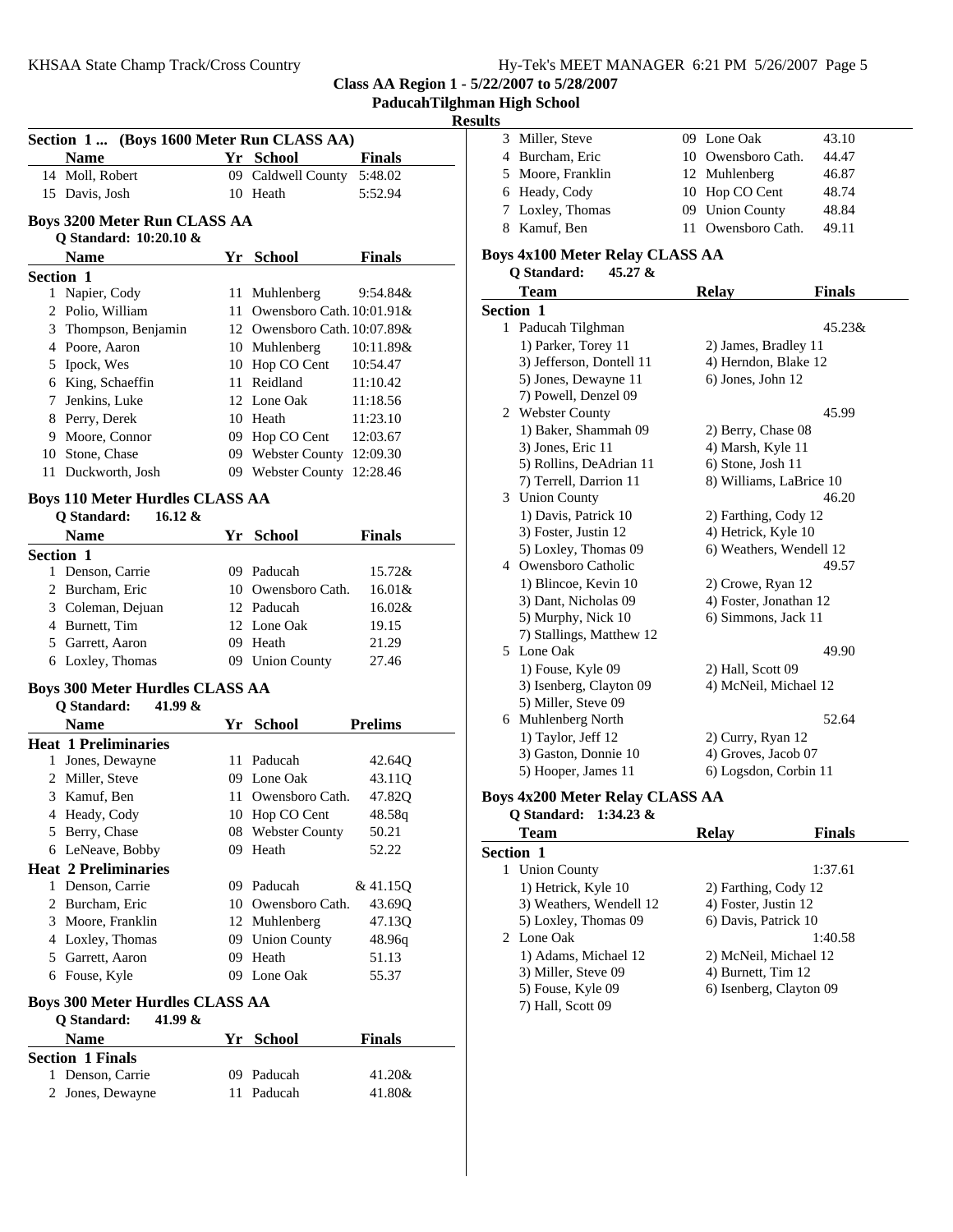**PaducahTilghman High School**

### **Results**

| Section 1 (Boys 1600 Meter Run CLASS AA) |                                        |    |                                               |               |
|------------------------------------------|----------------------------------------|----|-----------------------------------------------|---------------|
|                                          | Name                                   |    | Yr School                                     | <b>Finals</b> |
|                                          | 14 Moll, Robert                        |    | 09 Caldwell County                            | 5:48.02       |
|                                          | 15 Davis, Josh                         |    | 10 Heath                                      | 5:52.94       |
|                                          |                                        |    |                                               |               |
|                                          | <b>Boys 3200 Meter Run CLASS AA</b>    |    |                                               |               |
|                                          | Q Standard: 10:20.10 &                 |    |                                               |               |
|                                          | <b>Name</b>                            |    | Yr School                                     | <b>Finals</b> |
| <b>Section 1</b>                         |                                        |    |                                               |               |
|                                          | 1 Napier, Cody<br>2 Polio, William     |    | 11 Muhlenberg<br>11 Owensboro Cath. 10:01.91& | 9:54.84&      |
|                                          | 3 Thompson, Benjamin                   |    | 12 Owensboro Cath. 10:07.89&                  |               |
|                                          | 4 Poore, Aaron                         |    |                                               | 10:11.89&     |
|                                          | 5 Ipock, Wes                           |    | 10 Muhlenberg<br>10 Hop CO Cent               | 10:54.47      |
|                                          | 6 King, Schaeffin                      |    | 11 Reidland                                   | 11:10.42      |
|                                          | 7 Jenkins, Luke                        |    | 12 Lone Oak                                   | 11:18.56      |
|                                          | 8 Perry, Derek                         |    | 10 Heath                                      | 11:23.10      |
|                                          | 9 Moore, Connor                        |    | 09 Hop CO Cent                                | 12:03.67      |
|                                          | 10 Stone, Chase                        |    | 09 Webster County 12:09.30                    |               |
|                                          | 11 Duckworth, Josh                     |    | 09 Webster County 12:28.46                    |               |
|                                          |                                        |    |                                               |               |
|                                          | <b>Boys 110 Meter Hurdles CLASS AA</b> |    |                                               |               |
|                                          | Q Standard:<br>$16.12 \&$              |    |                                               |               |
|                                          | Name                                   |    | Yr School                                     | <b>Finals</b> |
| <b>Section 1</b>                         |                                        |    |                                               |               |
|                                          | 1 Denson, Carrie                       |    | 09 Paducah                                    | 15.72&        |
|                                          | 2 Burcham, Eric                        |    | 10 Owensboro Cath.                            | $16.01\&$     |
|                                          | 3 Coleman, Dejuan                      |    | 12 Paducah                                    | $16.02\&$     |
|                                          | 4 Burnett, Tim                         |    | 12 Lone Oak                                   | 19.15         |
|                                          | 5 Garrett, Aaron                       |    | 09 Heath                                      | 21.29         |
|                                          | 6 Loxley, Thomas                       |    | 09 Union County                               | 27.46         |
|                                          | <b>Boys 300 Meter Hurdles CLASS AA</b> |    |                                               |               |
|                                          | Q Standard:<br>41.99 &                 |    |                                               |               |
|                                          | <b>Name</b>                            |    | Yr School                                     | Prelims       |
|                                          | <b>Heat 1 Preliminaries</b>            |    |                                               |               |
|                                          | 1 Jones, Dewayne                       |    | 11 Paducah                                    | 42.64Q        |
|                                          | 2 Miller, Steve                        |    | 09 Lone Oak                                   | 43.11Q        |
|                                          | 3 Kamuf, Ben                           |    | 11 Owensboro Cath.                            | 47.82Q        |
|                                          | 4 Heady, Cody                          |    | 10 Hop CO Cent                                | 48.58q        |
|                                          | 5 Berry, Chase                         | 08 | <b>Webster County</b>                         | 50.21         |
|                                          | 6 LeNeave, Bobby                       |    | 09 Heath                                      | 52.22         |
|                                          | <b>Heat 2 Preliminaries</b>            |    |                                               |               |
|                                          | 1 Denson, Carrie                       |    | 09 Paducah                                    | & 41.15Q      |
|                                          | 2 Burcham, Eric                        |    | 10 Owensboro Cath.                            | 43.69Q        |
|                                          | 3 Moore, Franklin                      |    | 12 Muhlenberg                                 | 47.13Q        |
|                                          | 4 Loxley, Thomas                       |    | 09 Union County                               | 48.96q        |
|                                          | 5 Garrett, Aaron                       |    | 09 Heath                                      | 51.13         |
|                                          | 6 Fouse, Kyle                          |    | 09 Lone Oak                                   | 55.37         |
|                                          | <b>Boys 300 Meter Hurdles CLASS AA</b> |    |                                               |               |
|                                          | <b>Q</b> Standard:<br>41.99 &          |    |                                               |               |
|                                          | <b>Name</b>                            | Yr | <b>School</b>                                 | <b>Finals</b> |
|                                          | <b>Section 1 Finals</b>                |    |                                               |               |
|                                          | 1 Denson, Carrie                       | 09 | Paducah                                       | 41.20&        |
| 2                                        | Jones, Dewayne                         | 11 | Paducah                                       | 41.80&        |

| . . |                   |                    |       |
|-----|-------------------|--------------------|-------|
|     | 3 Miller, Steve   | 09 Lone Oak        | 43.10 |
|     | 4 Burcham, Eric   | 10 Owensboro Cath. | 44.47 |
|     | 5 Moore, Franklin | 12 Muhlenberg      | 46.87 |
|     | 6 Heady, Cody     | 10 Hop CO Cent     | 48.74 |
|     | 7 Loxley, Thomas  | 09 Union County    | 48.84 |
|     | 8 Kamuf, Ben      | 11 Owensboro Cath. | 49.11 |

## **Boys 4x100 Meter Relay CLASS AA**

| Q Standard: | 45.27 & |
|-------------|---------|
|-------------|---------|

| Team                                   | <b>Relay</b>           | <b>Finals</b>           |
|----------------------------------------|------------------------|-------------------------|
| Section 1                              |                        |                         |
| 1 Paducah Tilghman                     |                        | 45.23&                  |
| 1) Parker, Torey 11                    | 2) James, Bradley 11   |                         |
| 3) Jefferson, Dontell 11               | 4) Herndon, Blake 12   |                         |
| 5) Jones, Dewayne 11                   | 6) Jones, John 12      |                         |
| 7) Powell, Denzel 09                   |                        |                         |
| 2 Webster County                       |                        | 45.99                   |
| 1) Baker, Shammah 09                   | 2) Berry, Chase 08     |                         |
| 3) Jones, Eric 11                      | 4) Marsh, Kyle 11      |                         |
| 5) Rollins, DeAdrian 11                | 6) Stone, Josh 11      |                         |
| 7) Terrell, Darrion 11                 |                        | 8) Williams, LaBrice 10 |
| 3 Union County                         |                        | 46.20                   |
| 1) Davis, Patrick 10                   | 2) Farthing, Cody 12   |                         |
| 3) Foster, Justin 12                   | 4) Hetrick, Kyle 10    |                         |
| 5) Loxley, Thomas 09                   |                        | 6) Weathers, Wendell 12 |
| 4 Owensboro Catholic                   |                        | 49.57                   |
| 1) Blincoe, Kevin 10                   | 2) Crowe, Ryan 12      |                         |
| 3) Dant, Nicholas 09                   | 4) Foster, Jonathan 12 |                         |
| 5) Murphy, Nick 10                     | 6) Simmons, Jack 11    |                         |
| 7) Stallings, Matthew 12               |                        |                         |
| 5 Lone Oak                             |                        | 49.90                   |
| 1) Fouse, Kyle 09                      | 2) Hall, Scott 09      |                         |
| 3) Isenberg, Clayton 09                | 4) McNeil, Michael 12  |                         |
| 5) Miller, Steve 09                    |                        |                         |
| 6 Muhlenberg North                     |                        | 52.64                   |
| 1) Taylor, Jeff 12                     | 2) Curry, Ryan 12      |                         |
| 3) Gaston, Donnie 10                   | 4) Groves, Jacob 07    |                         |
| 5) Hooper, James 11                    | 6) Logsdon, Corbin 11  |                         |
| <b>Boys 4x200 Meter Relay CLASS AA</b> |                        |                         |
| Q Standard:<br>$1:34.23 \&$            |                        |                         |
| <b>Team</b>                            | <b>Relay</b>           | <b>Finals</b>           |
| Section 1                              |                        |                         |
| 1 Union County                         |                        | 1:37.61                 |
| 1) Hetrick, Kyle 10                    | 2) Farthing, Cody 12   |                         |
| 3) Weathers, Wendell 12                | 4) Foster, Justin 12   |                         |
| 5) Loxley, Thomas 09                   | 6) Davis, Patrick 10   |                         |
| 2 Lone Oak                             |                        | 1:40.58                 |
| 1) Adams, Michael 12                   | 2) McNeil, Michael 12  |                         |
| 3) Miller, Steve 09                    | 4) Burnett, Tim 12     |                         |
| 5) Fouse, Kyle 09                      |                        | 6) Isenberg, Clayton 09 |
| 7) Hall, Scott 09                      |                        |                         |